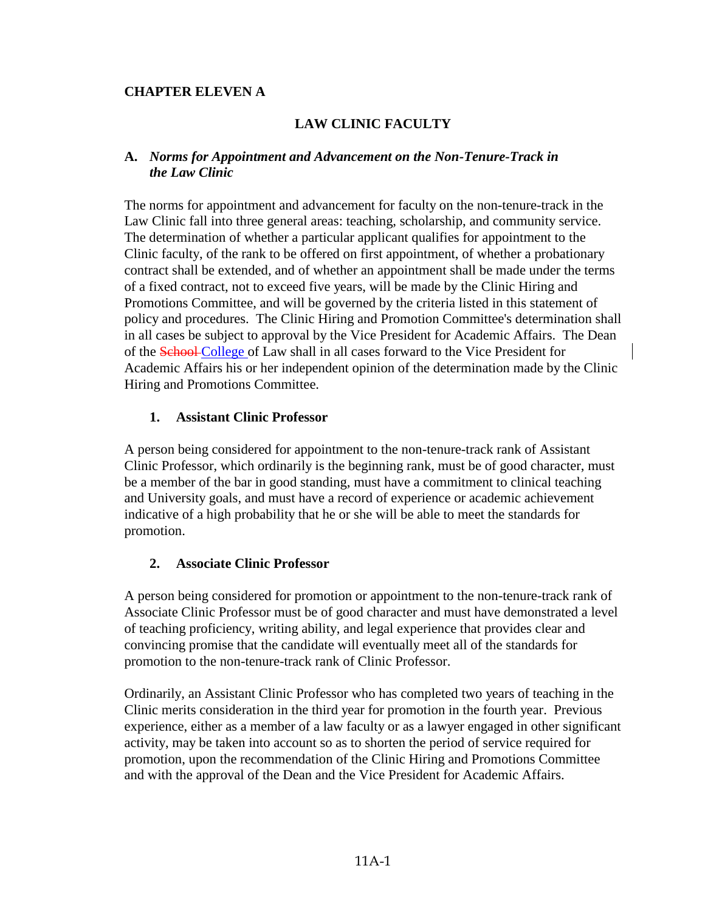### **CHAPTER ELEVEN A**

### **LAW CLINIC FACULTY**

### **A.** *Norms for Appointment and Advancement on the Non-Tenure-Track in the Law Clinic*

The norms for appointment and advancement for faculty on the non-tenure-track in the Law Clinic fall into three general areas: teaching, scholarship, and community service. The determination of whether a particular applicant qualifies for appointment to the Clinic faculty, of the rank to be offered on first appointment, of whether a probationary contract shall be extended, and of whether an appointment shall be made under the terms of a fixed contract, not to exceed five years, will be made by the Clinic Hiring and Promotions Committee, and will be governed by the criteria listed in this statement of policy and procedures. The Clinic Hiring and Promotion Committee's determination shall in all cases be subject to approval by the Vice President for Academic Affairs. The Dean of the School College of Law shall in all cases forward to the Vice President for Academic Affairs his or her independent opinion of the determination made by the Clinic Hiring and Promotions Committee.

### **1. Assistant Clinic Professor**

A person being considered for appointment to the non-tenure-track rank of Assistant Clinic Professor, which ordinarily is the beginning rank, must be of good character, must be a member of the bar in good standing, must have a commitment to clinical teaching and University goals, and must have a record of experience or academic achievement indicative of a high probability that he or she will be able to meet the standards for promotion.

#### **2. Associate Clinic Professor**

A person being considered for promotion or appointment to the non-tenure-track rank of Associate Clinic Professor must be of good character and must have demonstrated a level of teaching proficiency, writing ability, and legal experience that provides clear and convincing promise that the candidate will eventually meet all of the standards for promotion to the non-tenure-track rank of Clinic Professor.

Ordinarily, an Assistant Clinic Professor who has completed two years of teaching in the Clinic merits consideration in the third year for promotion in the fourth year. Previous experience, either as a member of a law faculty or as a lawyer engaged in other significant activity, may be taken into account so as to shorten the period of service required for promotion, upon the recommendation of the Clinic Hiring and Promotions Committee and with the approval of the Dean and the Vice President for Academic Affairs.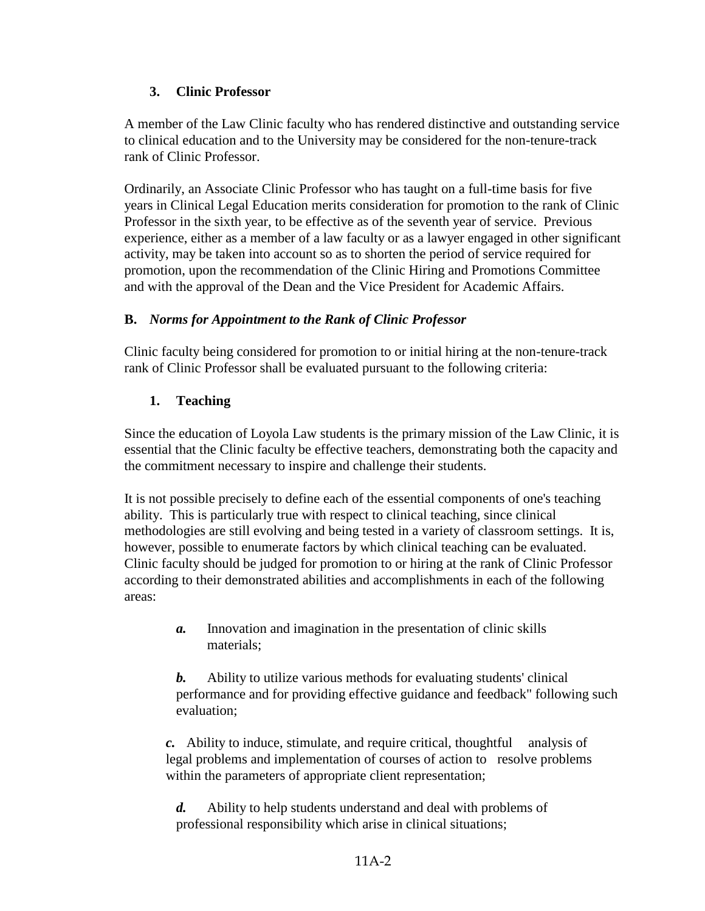# **3. Clinic Professor**

A member of the Law Clinic faculty who has rendered distinctive and outstanding service to clinical education and to the University may be considered for the non-tenure-track rank of Clinic Professor.

Ordinarily, an Associate Clinic Professor who has taught on a full-time basis for five years in Clinical Legal Education merits consideration for promotion to the rank of Clinic Professor in the sixth year, to be effective as of the seventh year of service. Previous experience, either as a member of a law faculty or as a lawyer engaged in other significant activity, may be taken into account so as to shorten the period of service required for promotion, upon the recommendation of the Clinic Hiring and Promotions Committee and with the approval of the Dean and the Vice President for Academic Affairs.

# **B.** *Norms for Appointment to the Rank of Clinic Professor*

Clinic faculty being considered for promotion to or initial hiring at the non-tenure-track rank of Clinic Professor shall be evaluated pursuant to the following criteria:

# **1. Teaching**

Since the education of Loyola Law students is the primary mission of the Law Clinic, it is essential that the Clinic faculty be effective teachers, demonstrating both the capacity and the commitment necessary to inspire and challenge their students.

It is not possible precisely to define each of the essential components of one's teaching ability. This is particularly true with respect to clinical teaching, since clinical methodologies are still evolving and being tested in a variety of classroom settings. It is, however, possible to enumerate factors by which clinical teaching can be evaluated. Clinic faculty should be judged for promotion to or hiring at the rank of Clinic Professor according to their demonstrated abilities and accomplishments in each of the following areas:

> *a.* Innovation and imagination in the presentation of clinic skills materials;

*b.* Ability to utilize various methods for evaluating students' clinical performance and for providing effective guidance and feedback" following such evaluation;

*c.* Ability to induce, stimulate, and require critical, thoughtful analysis of legal problems and implementation of courses of action to resolve problems within the parameters of appropriate client representation;

*d.* Ability to help students understand and deal with problems of professional responsibility which arise in clinical situations;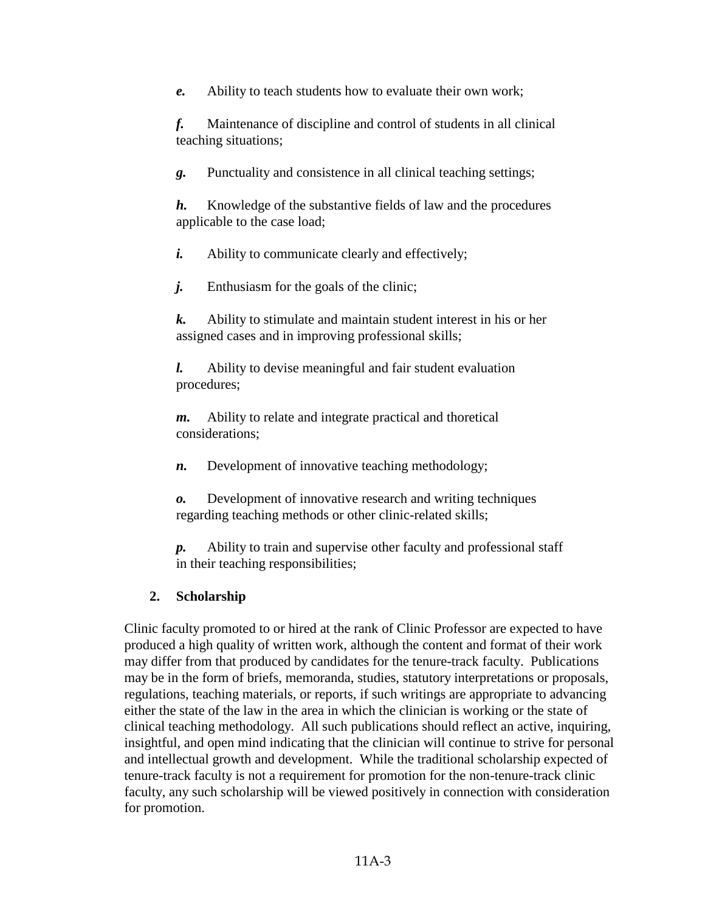*e.* Ability to teach students how to evaluate their own work;

*f.* Maintenance of discipline and control of students in all clinical teaching situations;

*g.* Punctuality and consistence in all clinical teaching settings;

*h.* Knowledge of the substantive fields of law and the procedures applicable to the case load;

*i.* Ability to communicate clearly and effectively;

*j.* Enthusiasm for the goals of the clinic;

*k.* Ability to stimulate and maintain student interest in his or her assigned cases and in improving professional skills;

*l.* Ability to devise meaningful and fair student evaluation procedures;

*m.* Ability to relate and integrate practical and thoretical considerations;

*n.* Development of innovative teaching methodology;

*o.* Development of innovative research and writing techniques regarding teaching methods or other clinic-related skills;

*p.* Ability to train and supervise other faculty and professional staff in their teaching responsibilities;

# **2. Scholarship**

Clinic faculty promoted to or hired at the rank of Clinic Professor are expected to have produced a high quality of written work, although the content and format of their work may differ from that produced by candidates for the tenure-track faculty. Publications may be in the form of briefs, memoranda, studies, statutory interpretations or proposals, regulations, teaching materials, or reports, if such writings are appropriate to advancing either the state of the law in the area in which the clinician is working or the state of clinical teaching methodology. All such publications should reflect an active, inquiring, insightful, and open mind indicating that the clinician will continue to strive for personal and intellectual growth and development. While the traditional scholarship expected of tenure-track faculty is not a requirement for promotion for the non-tenure-track clinic faculty, any such scholarship will be viewed positively in connection with consideration for promotion.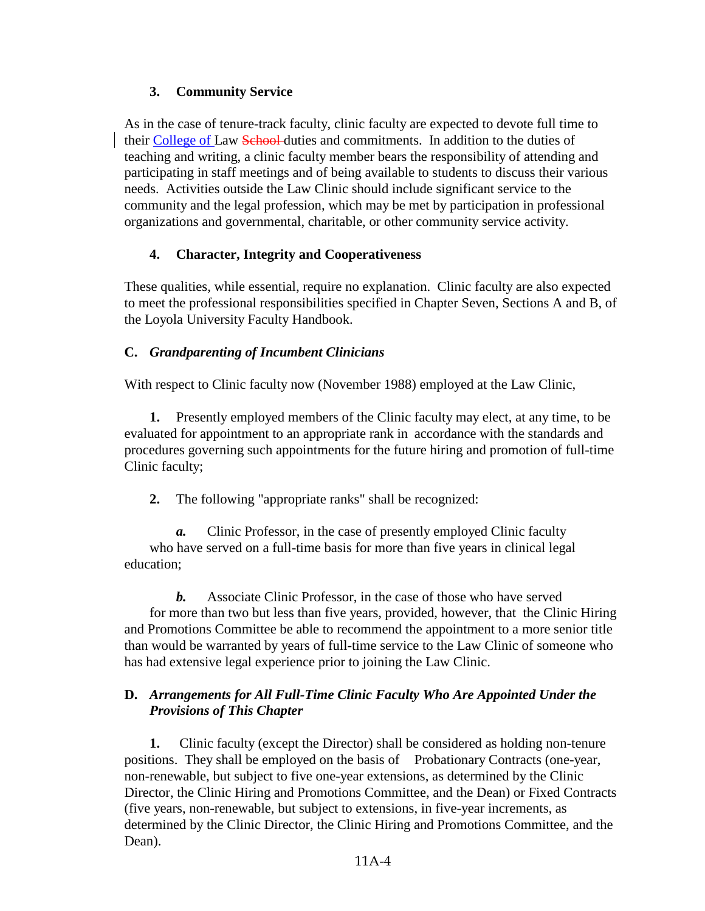## **3. Community Service**

As in the case of tenure-track faculty, clinic faculty are expected to devote full time to their College of Law School-duties and commitments. In addition to the duties of teaching and writing, a clinic faculty member bears the responsibility of attending and participating in staff meetings and of being available to students to discuss their various needs. Activities outside the Law Clinic should include significant service to the community and the legal profession, which may be met by participation in professional organizations and governmental, charitable, or other community service activity.

# **4. Character, Integrity and Cooperativeness**

These qualities, while essential, require no explanation. Clinic faculty are also expected to meet the professional responsibilities specified in Chapter Seven, Sections A and B, of the Loyola University Faculty Handbook.

# **C.** *Grandparenting of Incumbent Clinicians*

With respect to Clinic faculty now (November 1988) employed at the Law Clinic,

**1.** Presently employed members of the Clinic faculty may elect, at any time, to be evaluated for appointment to an appropriate rank in accordance with the standards and procedures governing such appointments for the future hiring and promotion of full-time Clinic faculty;

**2.** The following "appropriate ranks" shall be recognized:

*a.* Clinic Professor, in the case of presently employed Clinic faculty who have served on a full-time basis for more than five years in clinical legal education;

*b.* Associate Clinic Professor, in the case of those who have served for more than two but less than five years, provided, however, that the Clinic Hiring and Promotions Committee be able to recommend the appointment to a more senior title than would be warranted by years of full-time service to the Law Clinic of someone who has had extensive legal experience prior to joining the Law Clinic.

# **D.** *Arrangements for All Full-Time Clinic Faculty Who Are Appointed Under the Provisions of This Chapter*

**1.** Clinic faculty (except the Director) shall be considered as holding non-tenure positions. They shall be employed on the basis of Probationary Contracts (one-year, non-renewable, but subject to five one-year extensions, as determined by the Clinic Director, the Clinic Hiring and Promotions Committee, and the Dean) or Fixed Contracts (five years, non-renewable, but subject to extensions, in five-year increments, as determined by the Clinic Director, the Clinic Hiring and Promotions Committee, and the Dean).